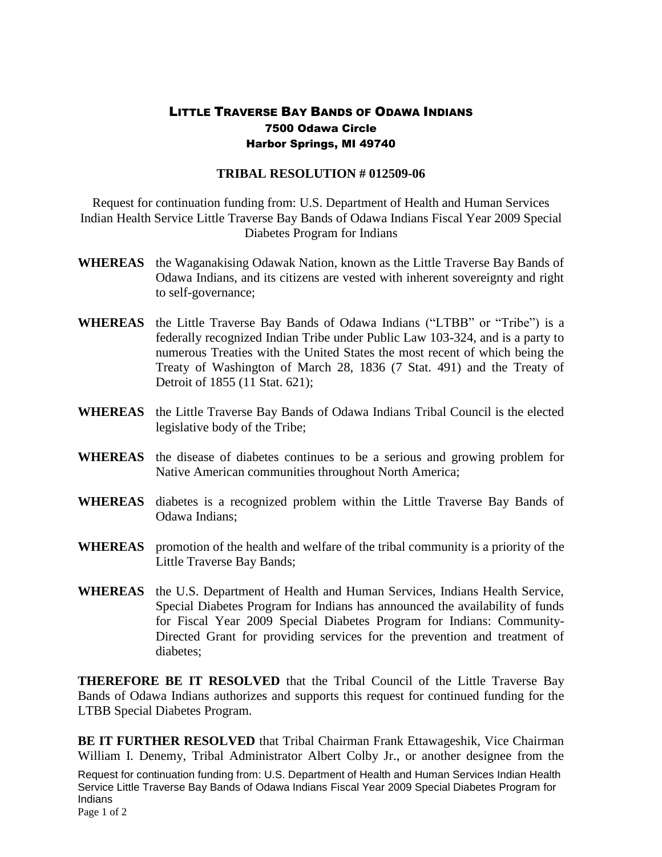## LITTLE TRAVERSE BAY BANDS OF ODAWA INDIANS 7500 Odawa Circle Harbor Springs, MI 49740

## **TRIBAL RESOLUTION # 012509-06**

Request for continuation funding from: U.S. Department of Health and Human Services Indian Health Service Little Traverse Bay Bands of Odawa Indians Fiscal Year 2009 Special Diabetes Program for Indians

- **WHEREAS** the Waganakising Odawak Nation, known as the Little Traverse Bay Bands of Odawa Indians, and its citizens are vested with inherent sovereignty and right to self-governance;
- **WHEREAS** the Little Traverse Bay Bands of Odawa Indians ("LTBB" or "Tribe") is a federally recognized Indian Tribe under Public Law 103-324, and is a party to numerous Treaties with the United States the most recent of which being the Treaty of Washington of March 28, 1836 (7 Stat. 491) and the Treaty of Detroit of 1855 (11 Stat. 621);
- **WHEREAS** the Little Traverse Bay Bands of Odawa Indians Tribal Council is the elected legislative body of the Tribe;
- **WHEREAS** the disease of diabetes continues to be a serious and growing problem for Native American communities throughout North America;
- **WHEREAS** diabetes is a recognized problem within the Little Traverse Bay Bands of Odawa Indians;
- **WHEREAS** promotion of the health and welfare of the tribal community is a priority of the Little Traverse Bay Bands;
- **WHEREAS** the U.S. Department of Health and Human Services, Indians Health Service, Special Diabetes Program for Indians has announced the availability of funds for Fiscal Year 2009 Special Diabetes Program for Indians: Community-Directed Grant for providing services for the prevention and treatment of diabetes;

**THEREFORE BE IT RESOLVED** that the Tribal Council of the Little Traverse Bay Bands of Odawa Indians authorizes and supports this request for continued funding for the LTBB Special Diabetes Program.

**BE IT FURTHER RESOLVED** that Tribal Chairman Frank Ettawageshik, Vice Chairman William I. Denemy, Tribal Administrator Albert Colby Jr., or another designee from the

Request for continuation funding from: U.S. Department of Health and Human Services Indian Health Service Little Traverse Bay Bands of Odawa Indians Fiscal Year 2009 Special Diabetes Program for Indians

Page 1 of 2